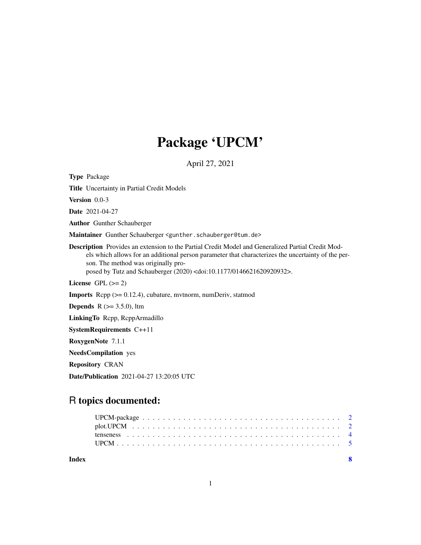# Package 'UPCM'

April 27, 2021

<span id="page-0-0"></span>Type Package

Title Uncertainty in Partial Credit Models

Version 0.0-3

Date 2021-04-27

Author Gunther Schauberger

Maintainer Gunther Schauberger <gunther.schauberger@tum.de>

Description Provides an extension to the Partial Credit Model and Generalized Partial Credit Models which allows for an additional person parameter that characterizes the uncertainty of the person. The method was originally proposed by Tutz and Schauberger (2020) <doi:10.1177/0146621620920932>.

License GPL  $(>= 2)$ 

Imports Rcpp (>= 0.12.4), cubature, mvtnorm, numDeriv, statmod

**Depends** R  $(>= 3.5.0)$ , ltm

LinkingTo Rcpp, RcppArmadillo

SystemRequirements C++11

RoxygenNote 7.1.1

NeedsCompilation yes

Repository CRAN

Date/Publication 2021-04-27 13:20:05 UTC

# R topics documented:

|       | UPCM. |
|-------|-------|
| Index |       |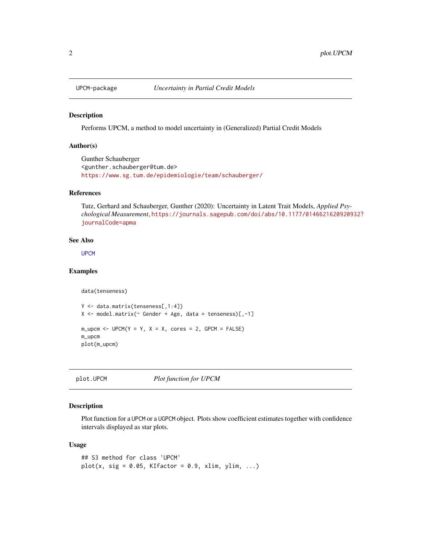<span id="page-1-2"></span><span id="page-1-0"></span>

#### Description

Performs UPCM, a method to model uncertainty in (Generalized) Partial Credit Models

#### Author(s)

Gunther Schauberger <gunther.schauberger@tum.de> <https://www.sg.tum.de/epidemiologie/team/schauberger/>

### References

Tutz, Gerhard and Schauberger, Gunther (2020): Uncertainty in Latent Trait Models, *Applied Psychological Measurement*, [https://journals.sagepub.com/doi/abs/10.1177/01466216209209](https://journals.sagepub.com/doi/abs/10.1177/0146621620920932?journalCode=apma)32? [journalCode=apma](https://journals.sagepub.com/doi/abs/10.1177/0146621620920932?journalCode=apma)

#### See Also

**[UPCM](#page-4-1)** 

#### Examples

```
data(tenseness)
Y <- data.matrix(tenseness[,1:4])
X \le - model.matrix(\sim Gender + Age, data = tenseness)[,-1]
m\_upcm < - UPCM(Y = Y, X = X, cores = 2, GPCM = FALSE)m_upcm
plot(m_upcm)
```
<span id="page-1-1"></span>plot.UPCM *Plot function for UPCM*

#### Description

Plot function for a UPCM or a UGPCM object. Plots show coefficient estimates together with confidence intervals displayed as star plots.

#### Usage

```
## S3 method for class 'UPCM'
plot(x, sig = 0.05, KIfactor = 0.9, xlim, ylim, ...)
```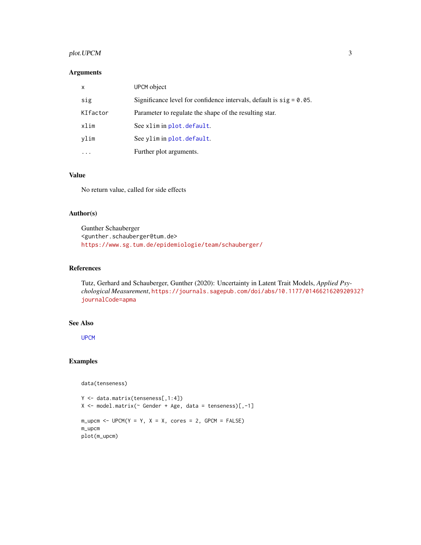# <span id="page-2-0"></span>plot. UPCM 3

### Arguments

| $\mathsf{x}$ | UPCM object                                                            |
|--------------|------------------------------------------------------------------------|
| sig          | Significance level for confidence intervals, default is $sig = 0.05$ . |
| KIfactor     | Parameter to regulate the shape of the resulting star.                 |
| xlim         | See xlim in plot.default.                                              |
| vlim         | See ylim in plot.default.                                              |
|              | Further plot arguments.                                                |

# Value

No return value, called for side effects

#### Author(s)

Gunther Schauberger <gunther.schauberger@tum.de> <https://www.sg.tum.de/epidemiologie/team/schauberger/>

#### References

Tutz, Gerhard and Schauberger, Gunther (2020): Uncertainty in Latent Trait Models, *Applied Psychological Measurement*, [https://journals.sagepub.com/doi/abs/10.1177/01466216209209](https://journals.sagepub.com/doi/abs/10.1177/0146621620920932?journalCode=apma)32? [journalCode=apma](https://journals.sagepub.com/doi/abs/10.1177/0146621620920932?journalCode=apma)

# See Also

[UPCM](#page-4-1)

# Examples

```
data(tenseness)
```

```
Y <- data.matrix(tenseness[,1:4])
X \le - model.matrix(\sim Gender + Age, data = tenseness)[,-1]
m\_upcm < - UPCM(Y = Y, X = X, cores = 2, GPCM = FALSE)m_upcm
plot(m_upcm)
```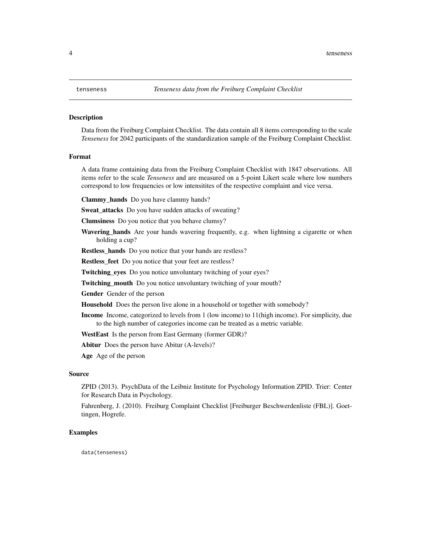#### <span id="page-3-0"></span>Description

Data from the Freiburg Complaint Checklist. The data contain all 8 items corresponding to the scale *Tenseness* for 2042 participants of the standardization sample of the Freiburg Complaint Checklist.

#### Format

A data frame containing data from the Freiburg Complaint Checklist with 1847 observations. All items refer to the scale *Tenseness* and are measured on a 5-point Likert scale where low numbers correspond to low frequencies or low intensitites of the respective complaint and vice versa.

Clammy\_hands Do you have clammy hands?

**Sweat\_attacks** Do you have sudden attacks of sweating?

Clumsiness Do you notice that you behave clumsy?

Wavering\_hands Are your hands wavering frequently, e.g. when lightning a cigarette or when holding a cup?

Restless hands Do you notice that your hands are restless?

Restless\_feet Do you notice that your feet are restless?

Twitching\_eyes Do you notice unvoluntary twitching of your eyes?

Twitching\_mouth Do you notice unvoluntary twitching of your mouth?

Gender Gender of the person

Household Does the person live alone in a household or together with somebody?

Income Income, categorized to levels from 1 (low income) to 11(high income). For simplicity, due to the high number of categories income can be treated as a metric variable.

WestEast Is the person from East Germany (former GDR)?

Abitur Does the person have Abitur (A-levels)?

Age Age of the person

#### Source

ZPID (2013). PsychData of the Leibniz Institute for Psychology Information ZPID. Trier: Center for Research Data in Psychology.

Fahrenberg, J. (2010). Freiburg Complaint Checklist [Freiburger Beschwerdenliste (FBL)]. Goettingen, Hogrefe.

#### Examples

data(tenseness)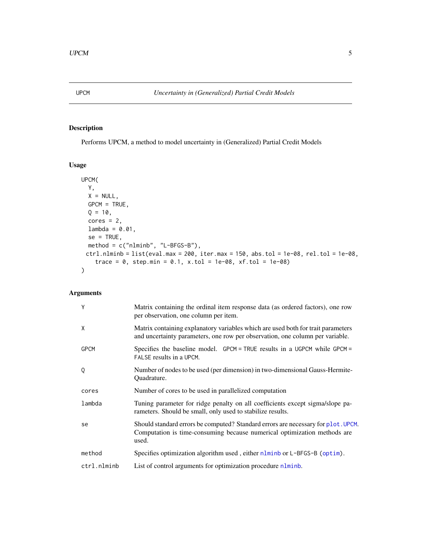<span id="page-4-1"></span><span id="page-4-0"></span>

# Description

Performs UPCM, a method to model uncertainty in (Generalized) Partial Credit Models

# Usage

```
UPCM(
 Y,
 X = NULL,GPCM = TRUE,Q = 10,
 cores = 2,lambda = 0.01,
 se = TRUE,method = c("nlminb", "L-BFGS-B"),
 ctrl.nlminb = list(eval.max = 200, iter.max = 150, abs.tol = 1e-08, rel.tol = 1e-08,
   trace = 0, step.min = 0.1, x.tol = 1e-08, xf.tol = 1e-08)
)
```
# Arguments

| Y           | Matrix containing the ordinal item response data (as ordered factors), one row<br>per observation, one column per item.                                                |
|-------------|------------------------------------------------------------------------------------------------------------------------------------------------------------------------|
| X           | Matrix containing explanatory variables which are used both for trait parameters<br>and uncertainty parameters, one row per observation, one column per variable.      |
| <b>GPCM</b> | Specifies the baseline model. GPCM = TRUE results in a UGPCM while GPCM =<br>FALSE results in a UPCM.                                                                  |
| Q           | Number of nodes to be used (per dimension) in two-dimensional Gauss-Hermite-<br>Ouadrature.                                                                            |
| cores       | Number of cores to be used in parallelized computation                                                                                                                 |
| lambda      | Tuning parameter for ridge penalty on all coefficients except sigma/slope pa-<br>rameters. Should be small, only used to stabilize results.                            |
| se          | Should standard errors be computed? Standard errors are necessary for plot. UPCM.<br>Computation is time-consuming because numerical optimization methods are<br>used. |
| method      | Specifies optimization algorithm used, either nlminb or L-BFGS-B (optim).                                                                                              |
| ctrl.nlminb | List of control arguments for optimization procedure nlminb.                                                                                                           |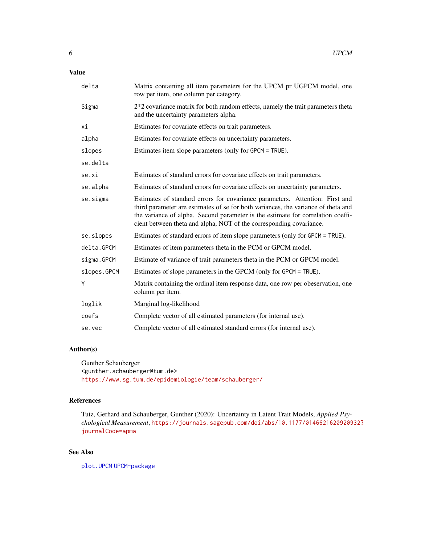# <span id="page-5-0"></span>Value

| delta       | Matrix containing all item parameters for the UPCM pr UGPCM model, one<br>row per item, one column per category.                                                                                                                                                                                                            |
|-------------|-----------------------------------------------------------------------------------------------------------------------------------------------------------------------------------------------------------------------------------------------------------------------------------------------------------------------------|
| Sigma       | $2*2$ covariance matrix for both random effects, namely the trait parameters theta<br>and the uncertainty parameters alpha.                                                                                                                                                                                                 |
| хi          | Estimates for covariate effects on trait parameters.                                                                                                                                                                                                                                                                        |
| alpha       | Estimates for covariate effects on uncertainty parameters.                                                                                                                                                                                                                                                                  |
| slopes      | Estimates item slope parameters (only for GPCM = TRUE).                                                                                                                                                                                                                                                                     |
| se.delta    |                                                                                                                                                                                                                                                                                                                             |
| se.xi       | Estimates of standard errors for covariate effects on trait parameters.                                                                                                                                                                                                                                                     |
| se.alpha    | Estimates of standard errors for covariate effects on uncertainty parameters.                                                                                                                                                                                                                                               |
| se.sigma    | Estimates of standard errors for covariance parameters. Attention: First and<br>third parameter are estimates of se for both variances, the variance of theta and<br>the variance of alpha. Second parameter is the estimate for correlation coeffi-<br>cient between theta and alpha, NOT of the corresponding covariance. |
| se.slopes   | Estimates of standard errors of item slope parameters (only for GPCM = TRUE).                                                                                                                                                                                                                                               |
| delta.GPCM  | Estimates of item parameters theta in the PCM or GPCM model.                                                                                                                                                                                                                                                                |
| sigma.GPCM  | Estimate of variance of trait parameters theta in the PCM or GPCM model.                                                                                                                                                                                                                                                    |
| slopes.GPCM | Estimates of slope parameters in the GPCM (only for GPCM = TRUE).                                                                                                                                                                                                                                                           |
| Υ           | Matrix containing the ordinal item response data, one row per obeservation, one<br>column per item.                                                                                                                                                                                                                         |
| loglik      | Marginal log-likelihood                                                                                                                                                                                                                                                                                                     |
| coefs       | Complete vector of all estimated parameters (for internal use).                                                                                                                                                                                                                                                             |
| se.vec      | Complete vector of all estimated standard errors (for internal use).                                                                                                                                                                                                                                                        |

# Author(s)

Gunther Schauberger <gunther.schauberger@tum.de> <https://www.sg.tum.de/epidemiologie/team/schauberger/>

### References

Tutz, Gerhard and Schauberger, Gunther (2020): Uncertainty in Latent Trait Models, *Applied Psychological Measurement*, [https://journals.sagepub.com/doi/abs/10.1177/01466216209209](https://journals.sagepub.com/doi/abs/10.1177/0146621620920932?journalCode=apma)32? [journalCode=apma](https://journals.sagepub.com/doi/abs/10.1177/0146621620920932?journalCode=apma)

# See Also

[plot.UPCM](#page-1-1) [UPCM-package](#page-1-2)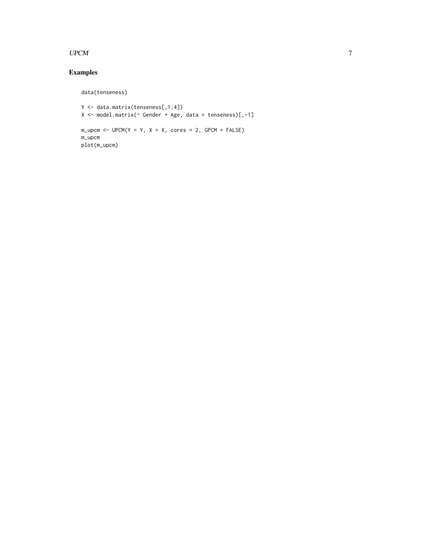#### $UPCM$  7

# Examples

data(tenseness)

Y <- data.matrix(tenseness[,1:4]) X <- model.matrix(~ Gender + Age, data = tenseness)[,-1]  $m\_upcm < - UPCM(Y = Y, X = X, cores = 2, GPCM = FALSE)$ m\_upcm plot(m\_upcm)